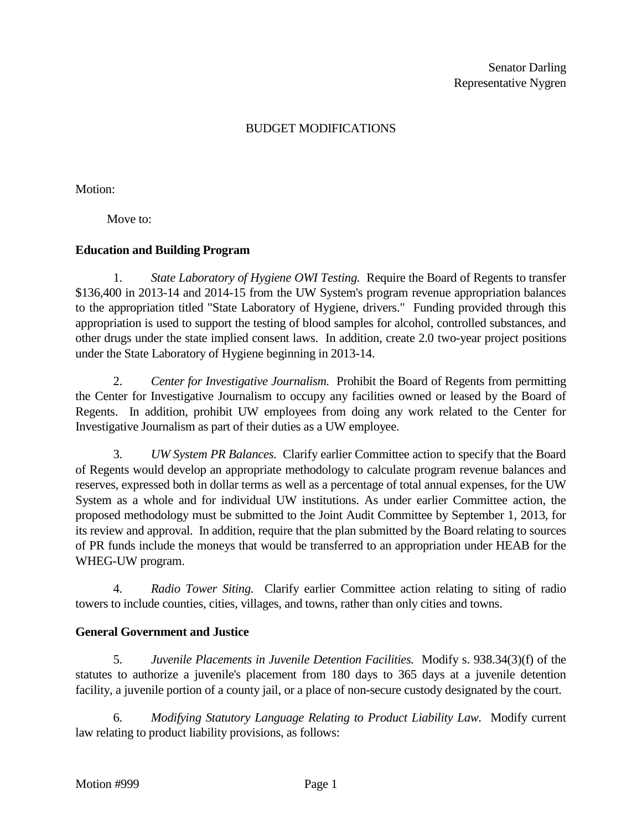#### BUDGET MODIFICATIONS

Motion:

Move to:

#### **Education and Building Program**

1. *State Laboratory of Hygiene OWI Testing.* Require the Board of Regents to transfer \$136,400 in 2013-14 and 2014-15 from the UW System's program revenue appropriation balances to the appropriation titled "State Laboratory of Hygiene, drivers." Funding provided through this appropriation is used to support the testing of blood samples for alcohol, controlled substances, and other drugs under the state implied consent laws. In addition, create 2.0 two-year project positions under the State Laboratory of Hygiene beginning in 2013-14.

2. *Center for Investigative Journalism.* Prohibit the Board of Regents from permitting the Center for Investigative Journalism to occupy any facilities owned or leased by the Board of Regents. In addition, prohibit UW employees from doing any work related to the Center for Investigative Journalism as part of their duties as a UW employee.

3. *UW System PR Balances.* Clarify earlier Committee action to specify that the Board of Regents would develop an appropriate methodology to calculate program revenue balances and reserves, expressed both in dollar terms as well as a percentage of total annual expenses, for the UW System as a whole and for individual UW institutions. As under earlier Committee action, the proposed methodology must be submitted to the Joint Audit Committee by September 1, 2013, for its review and approval. In addition, require that the plan submitted by the Board relating to sources of PR funds include the moneys that would be transferred to an appropriation under HEAB for the WHEG-UW program.

4. *Radio Tower Siting.* Clarify earlier Committee action relating to siting of radio towers to include counties, cities, villages, and towns, rather than only cities and towns.

#### **General Government and Justice**

5. *Juvenile Placements in Juvenile Detention Facilities.* Modify s. 938.34(3)(f) of the statutes to authorize a juvenile's placement from 180 days to 365 days at a juvenile detention facility, a juvenile portion of a county jail, or a place of non-secure custody designated by the court.

6. *Modifying Statutory Language Relating to Product Liability Law.* Modify current law relating to product liability provisions, as follows: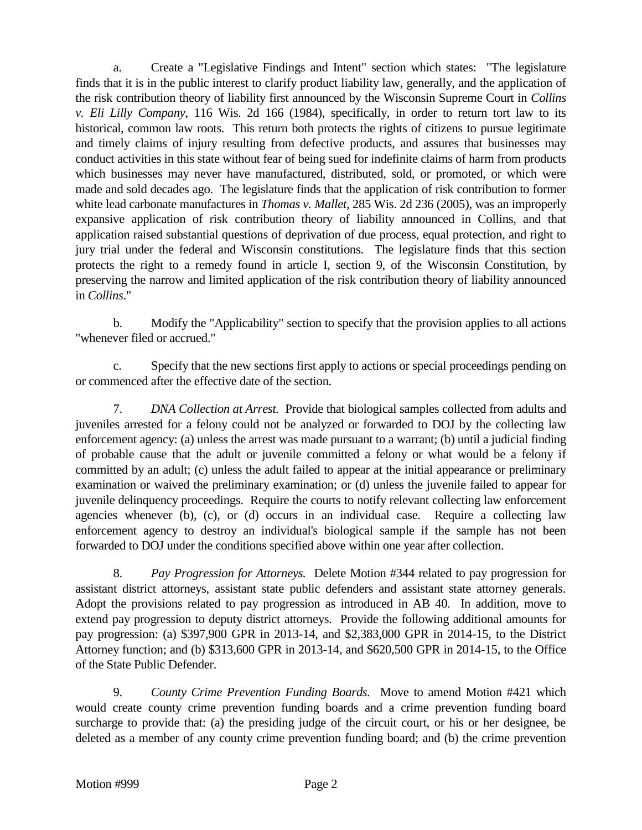a. Create a "Legislative Findings and Intent" section which states: "The legislature finds that it is in the public interest to clarify product liability law, generally, and the application of the risk contribution theory of liability first announced by the Wisconsin Supreme Court in *Collins v. Eli Lilly Company*, 116 Wis. 2d 166 (1984), specifically, in order to return tort law to its historical, common law roots. This return both protects the rights of citizens to pursue legitimate and timely claims of injury resulting from defective products, and assures that businesses may conduct activities in this state without fear of being sued for indefinite claims of harm from products which businesses may never have manufactured, distributed, sold, or promoted, or which were made and sold decades ago. The legislature finds that the application of risk contribution to former white lead carbonate manufactures in *Thomas v. Mallet,* 285 Wis. 2d 236 (2005), was an improperly expansive application of risk contribution theory of liability announced in Collins, and that application raised substantial questions of deprivation of due process, equal protection, and right to jury trial under the federal and Wisconsin constitutions. The legislature finds that this section protects the right to a remedy found in article I, section 9, of the Wisconsin Constitution, by preserving the narrow and limited application of the risk contribution theory of liability announced in *Collins*."

b. Modify the "Applicability" section to specify that the provision applies to all actions "whenever filed or accrued."

c. Specify that the new sections first apply to actions or special proceedings pending on or commenced after the effective date of the section.

7. *DNA Collection at Arrest.* Provide that biological samples collected from adults and juveniles arrested for a felony could not be analyzed or forwarded to DOJ by the collecting law enforcement agency: (a) unless the arrest was made pursuant to a warrant; (b) until a judicial finding of probable cause that the adult or juvenile committed a felony or what would be a felony if committed by an adult; (c) unless the adult failed to appear at the initial appearance or preliminary examination or waived the preliminary examination; or (d) unless the juvenile failed to appear for juvenile delinquency proceedings. Require the courts to notify relevant collecting law enforcement agencies whenever (b), (c), or (d) occurs in an individual case. Require a collecting law enforcement agency to destroy an individual's biological sample if the sample has not been forwarded to DOJ under the conditions specified above within one year after collection.

8. *Pay Progression for Attorneys.* Delete Motion #344 related to pay progression for assistant district attorneys, assistant state public defenders and assistant state attorney generals. Adopt the provisions related to pay progression as introduced in AB 40. In addition, move to extend pay progression to deputy district attorneys. Provide the following additional amounts for pay progression: (a) \$397,900 GPR in 2013-14, and \$2,383,000 GPR in 2014-15, to the District Attorney function; and (b) \$313,600 GPR in 2013-14, and \$620,500 GPR in 2014-15, to the Office of the State Public Defender.

9. *County Crime Prevention Funding Boards.* Move to amend Motion #421 which would create county crime prevention funding boards and a crime prevention funding board surcharge to provide that: (a) the presiding judge of the circuit court, or his or her designee, be deleted as a member of any county crime prevention funding board; and (b) the crime prevention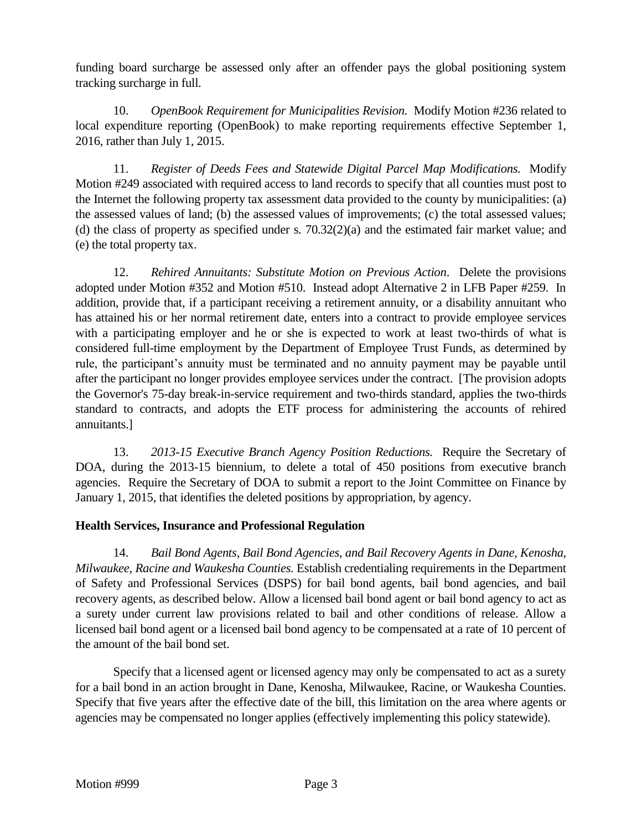funding board surcharge be assessed only after an offender pays the global positioning system tracking surcharge in full.

10. *OpenBook Requirement for Municipalities Revision.* Modify Motion #236 related to local expenditure reporting (OpenBook) to make reporting requirements effective September 1, 2016, rather than July 1, 2015.

11. *Register of Deeds Fees and Statewide Digital Parcel Map Modifications.* Modify Motion #249 associated with required access to land records to specify that all counties must post to the Internet the following property tax assessment data provided to the county by municipalities: (a) the assessed values of land; (b) the assessed values of improvements; (c) the total assessed values; (d) the class of property as specified under s. 70.32(2)(a) and the estimated fair market value; and (e) the total property tax.

12. *Rehired Annuitants: Substitute Motion on Previous Action*. Delete the provisions adopted under Motion #352 and Motion #510. Instead adopt Alternative 2 in LFB Paper #259. In addition, provide that, if a participant receiving a retirement annuity, or a disability annuitant who has attained his or her normal retirement date, enters into a contract to provide employee services with a participating employer and he or she is expected to work at least two-thirds of what is considered full-time employment by the Department of Employee Trust Funds, as determined by rule, the participant's annuity must be terminated and no annuity payment may be payable until after the participant no longer provides employee services under the contract. [The provision adopts the Governor's 75-day break-in-service requirement and two-thirds standard, applies the two-thirds standard to contracts, and adopts the ETF process for administering the accounts of rehired annuitants.]

13. *2013-15 Executive Branch Agency Position Reductions.* Require the Secretary of DOA, during the 2013-15 biennium, to delete a total of 450 positions from executive branch agencies. Require the Secretary of DOA to submit a report to the Joint Committee on Finance by January 1, 2015, that identifies the deleted positions by appropriation, by agency.

## **Health Services, Insurance and Professional Regulation**

14. *Bail Bond Agents, Bail Bond Agencies, and Bail Recovery Agents in Dane, Kenosha, Milwaukee, Racine and Waukesha Counties.* Establish credentialing requirements in the Department of Safety and Professional Services (DSPS) for bail bond agents, bail bond agencies, and bail recovery agents, as described below. Allow a licensed bail bond agent or bail bond agency to act as a surety under current law provisions related to bail and other conditions of release. Allow a licensed bail bond agent or a licensed bail bond agency to be compensated at a rate of 10 percent of the amount of the bail bond set.

Specify that a licensed agent or licensed agency may only be compensated to act as a surety for a bail bond in an action brought in Dane, Kenosha, Milwaukee, Racine, or Waukesha Counties. Specify that five years after the effective date of the bill, this limitation on the area where agents or agencies may be compensated no longer applies (effectively implementing this policy statewide).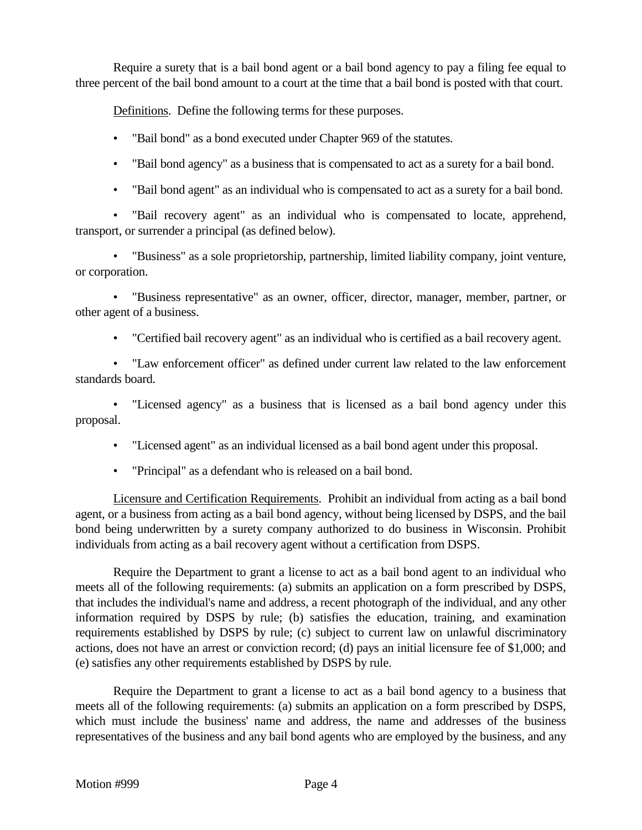Require a surety that is a bail bond agent or a bail bond agency to pay a filing fee equal to three percent of the bail bond amount to a court at the time that a bail bond is posted with that court.

Definitions. Define the following terms for these purposes.

- "Bail bond" as a bond executed under Chapter 969 of the statutes.
- "Bail bond agency" as a business that is compensated to act as a surety for a bail bond.
- "Bail bond agent" as an individual who is compensated to act as a surety for a bail bond.

• "Bail recovery agent" as an individual who is compensated to locate, apprehend, transport, or surrender a principal (as defined below).

• "Business" as a sole proprietorship, partnership, limited liability company, joint venture, or corporation.

• "Business representative" as an owner, officer, director, manager, member, partner, or other agent of a business.

• "Certified bail recovery agent" as an individual who is certified as a bail recovery agent.

• "Law enforcement officer" as defined under current law related to the law enforcement standards board.

• "Licensed agency" as a business that is licensed as a bail bond agency under this proposal.

• "Licensed agent" as an individual licensed as a bail bond agent under this proposal.

• "Principal" as a defendant who is released on a bail bond.

Licensure and Certification Requirements. Prohibit an individual from acting as a bail bond agent, or a business from acting as a bail bond agency, without being licensed by DSPS, and the bail bond being underwritten by a surety company authorized to do business in Wisconsin. Prohibit individuals from acting as a bail recovery agent without a certification from DSPS.

Require the Department to grant a license to act as a bail bond agent to an individual who meets all of the following requirements: (a) submits an application on a form prescribed by DSPS, that includes the individual's name and address, a recent photograph of the individual, and any other information required by DSPS by rule; (b) satisfies the education, training, and examination requirements established by DSPS by rule; (c) subject to current law on unlawful discriminatory actions, does not have an arrest or conviction record; (d) pays an initial licensure fee of \$1,000; and (e) satisfies any other requirements established by DSPS by rule.

Require the Department to grant a license to act as a bail bond agency to a business that meets all of the following requirements: (a) submits an application on a form prescribed by DSPS, which must include the business' name and address, the name and addresses of the business representatives of the business and any bail bond agents who are employed by the business, and any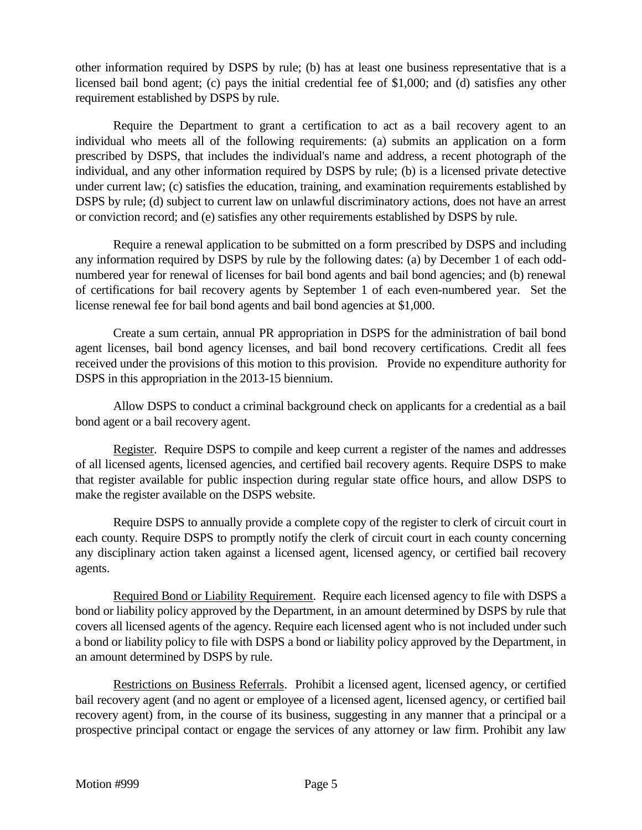other information required by DSPS by rule; (b) has at least one business representative that is a licensed bail bond agent; (c) pays the initial credential fee of \$1,000; and (d) satisfies any other requirement established by DSPS by rule.

Require the Department to grant a certification to act as a bail recovery agent to an individual who meets all of the following requirements: (a) submits an application on a form prescribed by DSPS, that includes the individual's name and address, a recent photograph of the individual, and any other information required by DSPS by rule; (b) is a licensed private detective under current law; (c) satisfies the education, training, and examination requirements established by DSPS by rule; (d) subject to current law on unlawful discriminatory actions, does not have an arrest or conviction record; and (e) satisfies any other requirements established by DSPS by rule.

Require a renewal application to be submitted on a form prescribed by DSPS and including any information required by DSPS by rule by the following dates: (a) by December 1 of each oddnumbered year for renewal of licenses for bail bond agents and bail bond agencies; and (b) renewal of certifications for bail recovery agents by September 1 of each even-numbered year. Set the license renewal fee for bail bond agents and bail bond agencies at \$1,000.

Create a sum certain, annual PR appropriation in DSPS for the administration of bail bond agent licenses, bail bond agency licenses, and bail bond recovery certifications. Credit all fees received under the provisions of this motion to this provision. Provide no expenditure authority for DSPS in this appropriation in the 2013-15 biennium.

Allow DSPS to conduct a criminal background check on applicants for a credential as a bail bond agent or a bail recovery agent.

Register. Require DSPS to compile and keep current a register of the names and addresses of all licensed agents, licensed agencies, and certified bail recovery agents. Require DSPS to make that register available for public inspection during regular state office hours, and allow DSPS to make the register available on the DSPS website.

Require DSPS to annually provide a complete copy of the register to clerk of circuit court in each county. Require DSPS to promptly notify the clerk of circuit court in each county concerning any disciplinary action taken against a licensed agent, licensed agency, or certified bail recovery agents.

Required Bond or Liability Requirement. Require each licensed agency to file with DSPS a bond or liability policy approved by the Department, in an amount determined by DSPS by rule that covers all licensed agents of the agency. Require each licensed agent who is not included under such a bond or liability policy to file with DSPS a bond or liability policy approved by the Department, in an amount determined by DSPS by rule.

Restrictions on Business Referrals. Prohibit a licensed agent, licensed agency, or certified bail recovery agent (and no agent or employee of a licensed agent, licensed agency, or certified bail recovery agent) from, in the course of its business, suggesting in any manner that a principal or a prospective principal contact or engage the services of any attorney or law firm. Prohibit any law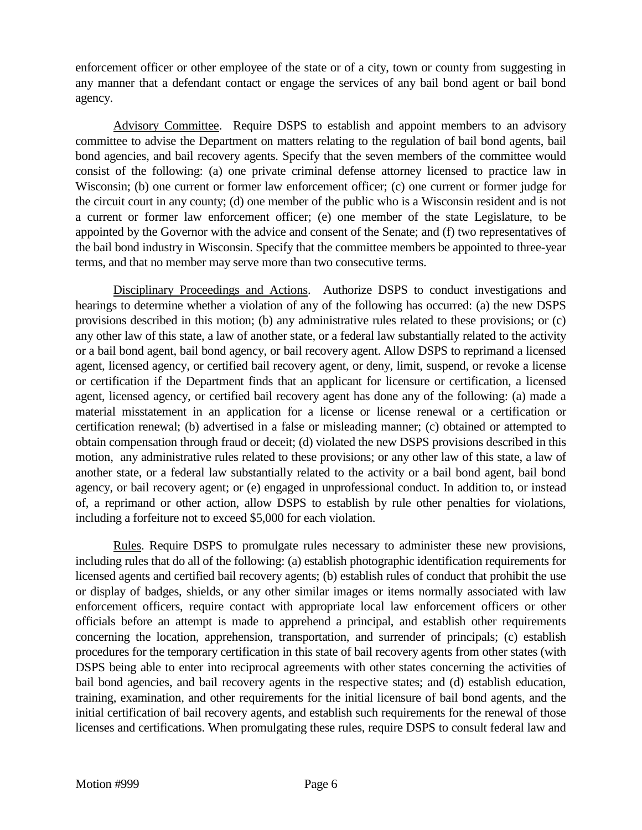enforcement officer or other employee of the state or of a city, town or county from suggesting in any manner that a defendant contact or engage the services of any bail bond agent or bail bond agency.

Advisory Committee. Require DSPS to establish and appoint members to an advisory committee to advise the Department on matters relating to the regulation of bail bond agents, bail bond agencies, and bail recovery agents. Specify that the seven members of the committee would consist of the following: (a) one private criminal defense attorney licensed to practice law in Wisconsin; (b) one current or former law enforcement officer; (c) one current or former judge for the circuit court in any county; (d) one member of the public who is a Wisconsin resident and is not a current or former law enforcement officer; (e) one member of the state Legislature, to be appointed by the Governor with the advice and consent of the Senate; and (f) two representatives of the bail bond industry in Wisconsin. Specify that the committee members be appointed to three-year terms, and that no member may serve more than two consecutive terms.

Disciplinary Proceedings and Actions. Authorize DSPS to conduct investigations and hearings to determine whether a violation of any of the following has occurred: (a) the new DSPS provisions described in this motion; (b) any administrative rules related to these provisions; or (c) any other law of this state, a law of another state, or a federal law substantially related to the activity or a bail bond agent, bail bond agency, or bail recovery agent. Allow DSPS to reprimand a licensed agent, licensed agency, or certified bail recovery agent, or deny, limit, suspend, or revoke a license or certification if the Department finds that an applicant for licensure or certification, a licensed agent, licensed agency, or certified bail recovery agent has done any of the following: (a) made a material misstatement in an application for a license or license renewal or a certification or certification renewal; (b) advertised in a false or misleading manner; (c) obtained or attempted to obtain compensation through fraud or deceit; (d) violated the new DSPS provisions described in this motion, any administrative rules related to these provisions; or any other law of this state, a law of another state, or a federal law substantially related to the activity or a bail bond agent, bail bond agency, or bail recovery agent; or (e) engaged in unprofessional conduct. In addition to, or instead of, a reprimand or other action, allow DSPS to establish by rule other penalties for violations, including a forfeiture not to exceed \$5,000 for each violation.

Rules. Require DSPS to promulgate rules necessary to administer these new provisions, including rules that do all of the following: (a) establish photographic identification requirements for licensed agents and certified bail recovery agents; (b) establish rules of conduct that prohibit the use or display of badges, shields, or any other similar images or items normally associated with law enforcement officers, require contact with appropriate local law enforcement officers or other officials before an attempt is made to apprehend a principal, and establish other requirements concerning the location, apprehension, transportation, and surrender of principals; (c) establish procedures for the temporary certification in this state of bail recovery agents from other states (with DSPS being able to enter into reciprocal agreements with other states concerning the activities of bail bond agencies, and bail recovery agents in the respective states; and (d) establish education, training, examination, and other requirements for the initial licensure of bail bond agents, and the initial certification of bail recovery agents, and establish such requirements for the renewal of those licenses and certifications. When promulgating these rules, require DSPS to consult federal law and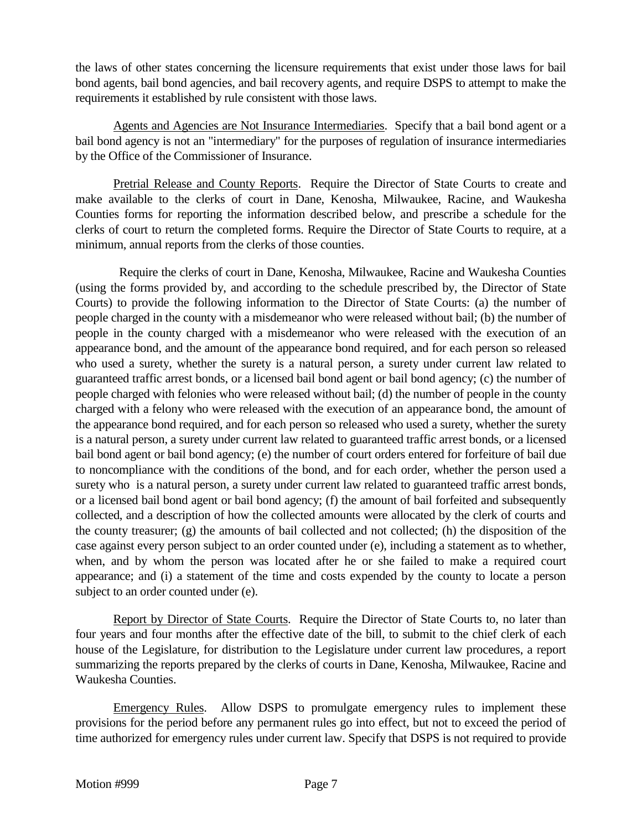the laws of other states concerning the licensure requirements that exist under those laws for bail bond agents, bail bond agencies, and bail recovery agents, and require DSPS to attempt to make the requirements it established by rule consistent with those laws.

Agents and Agencies are Not Insurance Intermediaries. Specify that a bail bond agent or a bail bond agency is not an "intermediary" for the purposes of regulation of insurance intermediaries by the Office of the Commissioner of Insurance.

Pretrial Release and County Reports. Require the Director of State Courts to create and make available to the clerks of court in Dane, Kenosha, Milwaukee, Racine, and Waukesha Counties forms for reporting the information described below, and prescribe a schedule for the clerks of court to return the completed forms. Require the Director of State Courts to require, at a minimum, annual reports from the clerks of those counties.

 Require the clerks of court in Dane, Kenosha, Milwaukee, Racine and Waukesha Counties (using the forms provided by, and according to the schedule prescribed by, the Director of State Courts) to provide the following information to the Director of State Courts: (a) the number of people charged in the county with a misdemeanor who were released without bail; (b) the number of people in the county charged with a misdemeanor who were released with the execution of an appearance bond, and the amount of the appearance bond required, and for each person so released who used a surety, whether the surety is a natural person, a surety under current law related to guaranteed traffic arrest bonds, or a licensed bail bond agent or bail bond agency; (c) the number of people charged with felonies who were released without bail; (d) the number of people in the county charged with a felony who were released with the execution of an appearance bond, the amount of the appearance bond required, and for each person so released who used a surety, whether the surety is a natural person, a surety under current law related to guaranteed traffic arrest bonds, or a licensed bail bond agent or bail bond agency; (e) the number of court orders entered for forfeiture of bail due to noncompliance with the conditions of the bond, and for each order, whether the person used a surety who is a natural person, a surety under current law related to guaranteed traffic arrest bonds, or a licensed bail bond agent or bail bond agency; (f) the amount of bail forfeited and subsequently collected, and a description of how the collected amounts were allocated by the clerk of courts and the county treasurer; (g) the amounts of bail collected and not collected; (h) the disposition of the case against every person subject to an order counted under (e), including a statement as to whether, when, and by whom the person was located after he or she failed to make a required court appearance; and (i) a statement of the time and costs expended by the county to locate a person subject to an order counted under (e).

Report by Director of State Courts. Require the Director of State Courts to, no later than four years and four months after the effective date of the bill, to submit to the chief clerk of each house of the Legislature, for distribution to the Legislature under current law procedures, a report summarizing the reports prepared by the clerks of courts in Dane, Kenosha, Milwaukee, Racine and Waukesha Counties.

Emergency Rules. Allow DSPS to promulgate emergency rules to implement these provisions for the period before any permanent rules go into effect, but not to exceed the period of time authorized for emergency rules under current law. Specify that DSPS is not required to provide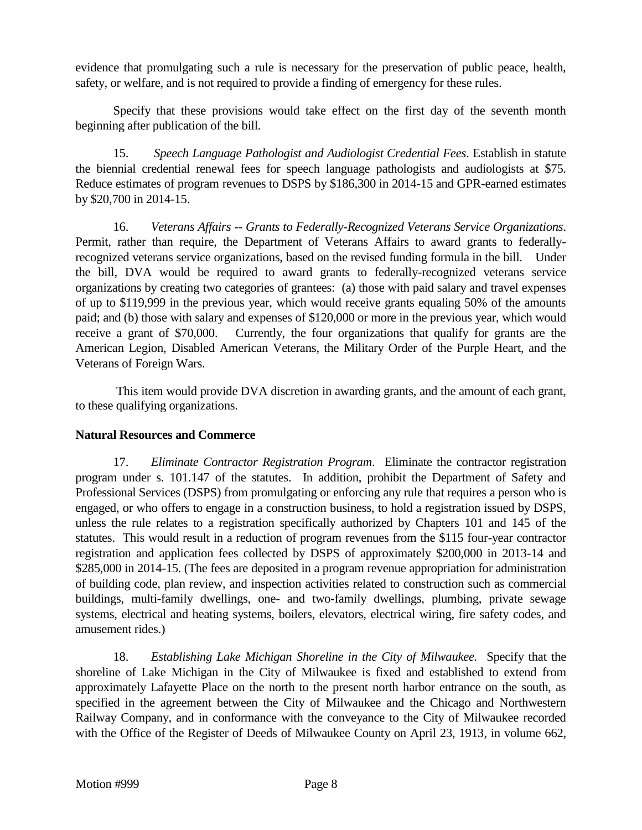evidence that promulgating such a rule is necessary for the preservation of public peace, health, safety, or welfare, and is not required to provide a finding of emergency for these rules.

Specify that these provisions would take effect on the first day of the seventh month beginning after publication of the bill.

15. *Speech Language Pathologist and Audiologist Credential Fees*. Establish in statute the biennial credential renewal fees for speech language pathologists and audiologists at \$75. Reduce estimates of program revenues to DSPS by \$186,300 in 2014-15 and GPR-earned estimates by \$20,700 in 2014-15.

16. *Veterans Affairs -- Grants to Federally-Recognized Veterans Service Organizations*. Permit, rather than require, the Department of Veterans Affairs to award grants to federallyrecognized veterans service organizations, based on the revised funding formula in the bill. Under the bill, DVA would be required to award grants to federally-recognized veterans service organizations by creating two categories of grantees: (a) those with paid salary and travel expenses of up to \$119,999 in the previous year, which would receive grants equaling 50% of the amounts paid; and (b) those with salary and expenses of \$120,000 or more in the previous year, which would receive a grant of \$70,000. Currently, the four organizations that qualify for grants are the American Legion, Disabled American Veterans, the Military Order of the Purple Heart, and the Veterans of Foreign Wars.

This item would provide DVA discretion in awarding grants, and the amount of each grant, to these qualifying organizations.

## **Natural Resources and Commerce**

17. *Eliminate Contractor Registration Program*. Eliminate the contractor registration program under s. 101.147 of the statutes. In addition, prohibit the Department of Safety and Professional Services (DSPS) from promulgating or enforcing any rule that requires a person who is engaged, or who offers to engage in a construction business, to hold a registration issued by DSPS, unless the rule relates to a registration specifically authorized by Chapters 101 and 145 of the statutes. This would result in a reduction of program revenues from the \$115 four-year contractor registration and application fees collected by DSPS of approximately \$200,000 in 2013-14 and \$285,000 in 2014-15. (The fees are deposited in a program revenue appropriation for administration of building code, plan review, and inspection activities related to construction such as commercial buildings, multi-family dwellings, one- and two-family dwellings, plumbing, private sewage systems, electrical and heating systems, boilers, elevators, electrical wiring, fire safety codes, and amusement rides.)

18. *Establishing Lake Michigan Shoreline in the City of Milwaukee.* Specify that the shoreline of Lake Michigan in the City of Milwaukee is fixed and established to extend from approximately Lafayette Place on the north to the present north harbor entrance on the south, as specified in the agreement between the City of Milwaukee and the Chicago and Northwestern Railway Company, and in conformance with the conveyance to the City of Milwaukee recorded with the Office of the Register of Deeds of Milwaukee County on April 23, 1913, in volume 662,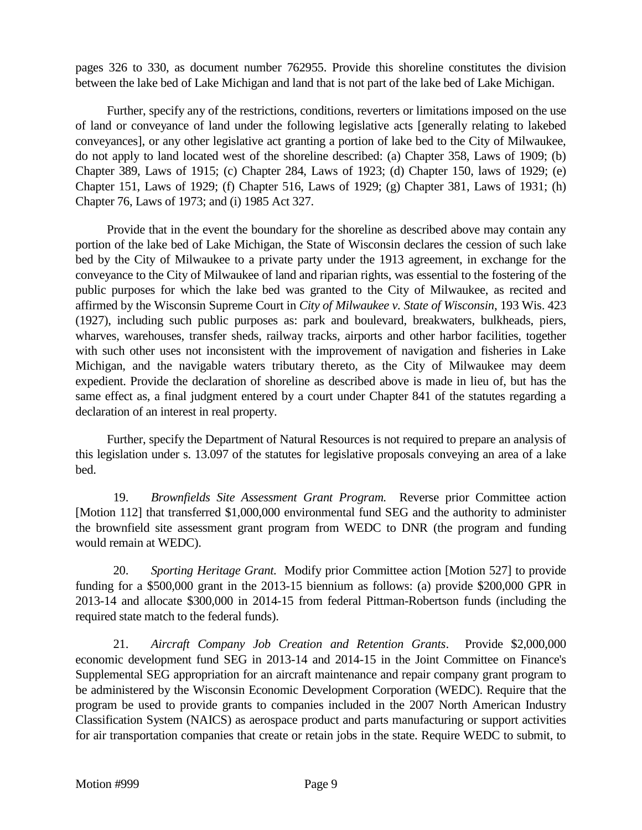pages 326 to 330, as document number 762955. Provide this shoreline constitutes the division between the lake bed of Lake Michigan and land that is not part of the lake bed of Lake Michigan.

Further, specify any of the restrictions, conditions, reverters or limitations imposed on the use of land or conveyance of land under the following legislative acts [generally relating to lakebed conveyances], or any other legislative act granting a portion of lake bed to the City of Milwaukee, do not apply to land located west of the shoreline described: (a) Chapter 358, Laws of 1909; (b) Chapter 389, Laws of 1915; (c) Chapter 284, Laws of 1923; (d) Chapter 150, laws of 1929; (e) Chapter 151, Laws of 1929; (f) Chapter 516, Laws of 1929; (g) Chapter 381, Laws of 1931; (h) Chapter 76, Laws of 1973; and (i) 1985 Act 327.

Provide that in the event the boundary for the shoreline as described above may contain any portion of the lake bed of Lake Michigan, the State of Wisconsin declares the cession of such lake bed by the City of Milwaukee to a private party under the 1913 agreement, in exchange for the conveyance to the City of Milwaukee of land and riparian rights, was essential to the fostering of the public purposes for which the lake bed was granted to the City of Milwaukee, as recited and affirmed by the Wisconsin Supreme Court in *City of Milwaukee v. State of Wisconsin*, 193 Wis. 423 (1927), including such public purposes as: park and boulevard, breakwaters, bulkheads, piers, wharves, warehouses, transfer sheds, railway tracks, airports and other harbor facilities, together with such other uses not inconsistent with the improvement of navigation and fisheries in Lake Michigan, and the navigable waters tributary thereto, as the City of Milwaukee may deem expedient. Provide the declaration of shoreline as described above is made in lieu of, but has the same effect as, a final judgment entered by a court under Chapter 841 of the statutes regarding a declaration of an interest in real property.

Further, specify the Department of Natural Resources is not required to prepare an analysis of this legislation under s. 13.097 of the statutes for legislative proposals conveying an area of a lake bed.

19. *Brownfields Site Assessment Grant Program.* Reverse prior Committee action [Motion 112] that transferred \$1,000,000 environmental fund SEG and the authority to administer the brownfield site assessment grant program from WEDC to DNR (the program and funding would remain at WEDC).

20. *Sporting Heritage Grant.* Modify prior Committee action [Motion 527] to provide funding for a \$500,000 grant in the 2013-15 biennium as follows: (a) provide \$200,000 GPR in 2013-14 and allocate \$300,000 in 2014-15 from federal Pittman-Robertson funds (including the required state match to the federal funds).

21. *Aircraft Company Job Creation and Retention Grants*. Provide \$2,000,000 economic development fund SEG in 2013-14 and 2014-15 in the Joint Committee on Finance's Supplemental SEG appropriation for an aircraft maintenance and repair company grant program to be administered by the Wisconsin Economic Development Corporation (WEDC). Require that the program be used to provide grants to companies included in the 2007 North American Industry Classification System (NAICS) as aerospace product and parts manufacturing or support activities for air transportation companies that create or retain jobs in the state. Require WEDC to submit, to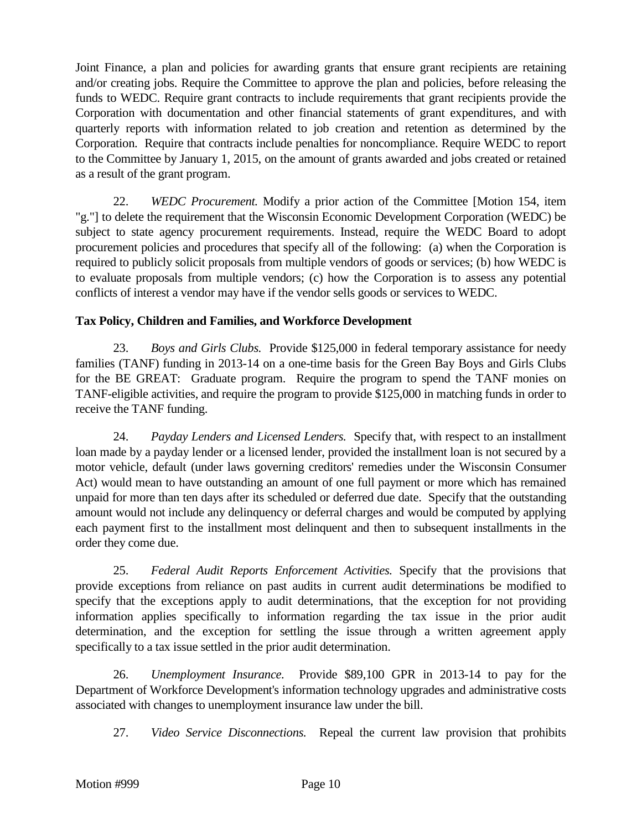Joint Finance, a plan and policies for awarding grants that ensure grant recipients are retaining and/or creating jobs. Require the Committee to approve the plan and policies, before releasing the funds to WEDC. Require grant contracts to include requirements that grant recipients provide the Corporation with documentation and other financial statements of grant expenditures, and with quarterly reports with information related to job creation and retention as determined by the Corporation. Require that contracts include penalties for noncompliance. Require WEDC to report to the Committee by January 1, 2015, on the amount of grants awarded and jobs created or retained as a result of the grant program.

22. *WEDC Procurement.* Modify a prior action of the Committee [Motion 154, item "g."] to delete the requirement that the Wisconsin Economic Development Corporation (WEDC) be subject to state agency procurement requirements. Instead, require the WEDC Board to adopt procurement policies and procedures that specify all of the following: (a) when the Corporation is required to publicly solicit proposals from multiple vendors of goods or services; (b) how WEDC is to evaluate proposals from multiple vendors; (c) how the Corporation is to assess any potential conflicts of interest a vendor may have if the vendor sells goods or services to WEDC.

# **Tax Policy, Children and Families, and Workforce Development**

23. *Boys and Girls Clubs.* Provide \$125,000 in federal temporary assistance for needy families (TANF) funding in 2013-14 on a one-time basis for the Green Bay Boys and Girls Clubs for the BE GREAT: Graduate program. Require the program to spend the TANF monies on TANF-eligible activities, and require the program to provide \$125,000 in matching funds in order to receive the TANF funding.

24. *Payday Lenders and Licensed Lenders.* Specify that, with respect to an installment loan made by a payday lender or a licensed lender, provided the installment loan is not secured by a motor vehicle, default (under laws governing creditors' remedies under the Wisconsin Consumer Act) would mean to have outstanding an amount of one full payment or more which has remained unpaid for more than ten days after its scheduled or deferred due date. Specify that the outstanding amount would not include any delinquency or deferral charges and would be computed by applying each payment first to the installment most delinquent and then to subsequent installments in the order they come due.

25. *Federal Audit Reports Enforcement Activities.* Specify that the provisions that provide exceptions from reliance on past audits in current audit determinations be modified to specify that the exceptions apply to audit determinations, that the exception for not providing information applies specifically to information regarding the tax issue in the prior audit determination, and the exception for settling the issue through a written agreement apply specifically to a tax issue settled in the prior audit determination.

26. *Unemployment Insurance.* Provide \$89,100 GPR in 2013-14 to pay for the Department of Workforce Development's information technology upgrades and administrative costs associated with changes to unemployment insurance law under the bill.

27. *Video Service Disconnections.* Repeal the current law provision that prohibits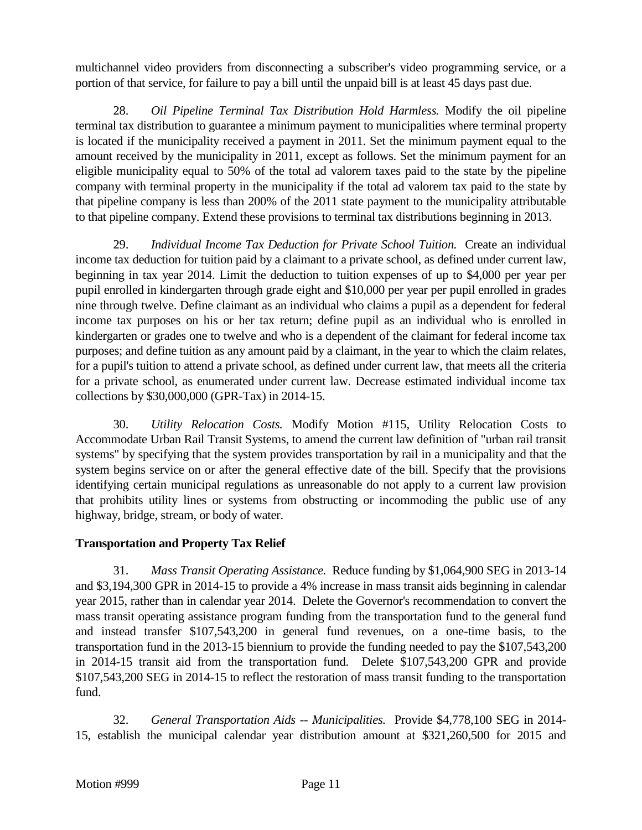multichannel video providers from disconnecting a subscriber's video programming service, or a portion of that service, for failure to pay a bill until the unpaid bill is at least 45 days past due.

28. *Oil Pipeline Terminal Tax Distribution Hold Harmless.* Modify the oil pipeline terminal tax distribution to guarantee a minimum payment to municipalities where terminal property is located if the municipality received a payment in 2011. Set the minimum payment equal to the amount received by the municipality in 2011, except as follows. Set the minimum payment for an eligible municipality equal to 50% of the total ad valorem taxes paid to the state by the pipeline company with terminal property in the municipality if the total ad valorem tax paid to the state by that pipeline company is less than 200% of the 2011 state payment to the municipality attributable to that pipeline company. Extend these provisions to terminal tax distributions beginning in 2013.

29. *Individual Income Tax Deduction for Private School Tuition.* Create an individual income tax deduction for tuition paid by a claimant to a private school, as defined under current law, beginning in tax year 2014. Limit the deduction to tuition expenses of up to \$4,000 per year per pupil enrolled in kindergarten through grade eight and \$10,000 per year per pupil enrolled in grades nine through twelve. Define claimant as an individual who claims a pupil as a dependent for federal income tax purposes on his or her tax return; define pupil as an individual who is enrolled in kindergarten or grades one to twelve and who is a dependent of the claimant for federal income tax purposes; and define tuition as any amount paid by a claimant, in the year to which the claim relates, for a pupil's tuition to attend a private school, as defined under current law, that meets all the criteria for a private school, as enumerated under current law. Decrease estimated individual income tax collections by \$30,000,000 (GPR-Tax) in 2014-15.

30. *Utility Relocation Costs.* Modify Motion #115, Utility Relocation Costs to Accommodate Urban Rail Transit Systems, to amend the current law definition of "urban rail transit systems" by specifying that the system provides transportation by rail in a municipality and that the system begins service on or after the general effective date of the bill. Specify that the provisions identifying certain municipal regulations as unreasonable do not apply to a current law provision that prohibits utility lines or systems from obstructing or incommoding the public use of any highway, bridge, stream, or body of water.

## **Transportation and Property Tax Relief**

31. *Mass Transit Operating Assistance.* Reduce funding by \$1,064,900 SEG in 2013-14 and \$3,194,300 GPR in 2014-15 to provide a 4% increase in mass transit aids beginning in calendar year 2015, rather than in calendar year 2014. Delete the Governor's recommendation to convert the mass transit operating assistance program funding from the transportation fund to the general fund and instead transfer \$107,543,200 in general fund revenues, on a one-time basis, to the transportation fund in the 2013-15 biennium to provide the funding needed to pay the \$107,543,200 in 2014-15 transit aid from the transportation fund. Delete \$107,543,200 GPR and provide \$107,543,200 SEG in 2014-15 to reflect the restoration of mass transit funding to the transportation fund.

32. *General Transportation Aids -- Municipalities.* Provide \$4,778,100 SEG in 2014- 15, establish the municipal calendar year distribution amount at \$321,260,500 for 2015 and